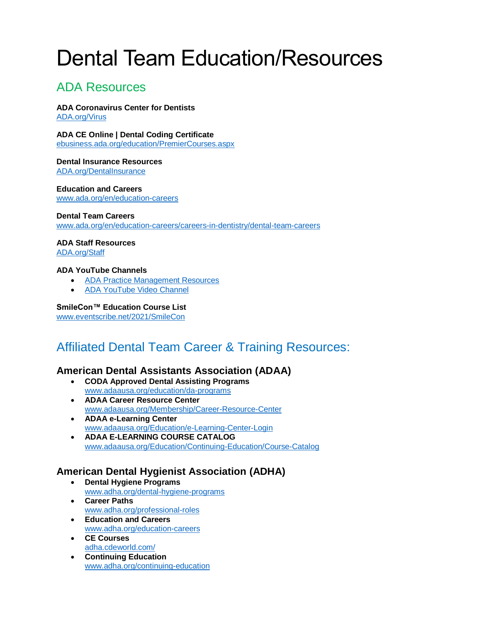# Dental Team Education/Resources

## ADA Resources

**ADA Coronavirus Center for Dentists** [ADA.org/Virus](https://success.ada.org/en/practice-management/patients/infectious-diseases-2019-novel-coronavirus?utm_source=adaorg&utm_medium=globalheader&utm_content=coronavirus&utm_campaign=covid-19)

**ADA CE Online | Dental Coding Certificate** [ebusiness.ada.org/education/PremierCourses.aspx](https://ebusiness.ada.org/education/PremierCourses.aspx)

**Dental Insurance Resources** [ADA.org/DentalInsurance](https://www.ada.org/en/member-center/member-benefits/practice-resources/dental-insurance?utm_medium=VanityUrl)

**Education and Careers** [www.ada.org/en/education-careers](http://www.ada.org/en/education-careers)

#### **Dental Team Careers**

[www.ada.org/en/education-careers/careers-in-dentistry/dental-team-careers](http://www.ada.org/en/education-careers/careers-in-dentistry/dental-team-careers)

#### **ADA Staff Resources**

[ADA.org/Staff](https://success.ada.org/en/practice-management/staff?utm_medium=VanityUrl)

#### **ADA YouTube Channels**

- [ADA Practice Management Resources](https://www.youtube.com/watch?v=yPOYLSApWoQ&list=PLgVW4hDBH0pf81MKC_bEahpTuM7Zz-_ep)
- [ADA YouTube Video Channel](https://www.youtube.com/channel/UC3UBF_16dd2UncCoR0lCgKQ)

#### **SmileCon™ Education Course List**

[www.eventscribe.net/2021/SmileCon](http://www.eventscribe.net/2021/SmileCon)

# Affiliated Dental Team Career & Training Resources:

#### **American Dental Assistants Association (ADAA)**

- **CODA Approved Dental Assisting Programs** [www.adaausa.org/education/da-programs](http://www.adaausa.org/education/da-programs)
- **ADAA Career Resource Center** [www.adaausa.org/Membership/Career-Resource-Center](http://www.adaausa.org/Membership/Career-Resource-Center)
- **ADAA e-Learning Center** [www.adaausa.org/Education/e-Learning-Center-Login](http://www.adaausa.org/Education/e-Learning-Center-Login)
- **ADAA E-LEARNING COURSE CATALOG** [www.adaausa.org/Education/Continuing-Education/Course-Catalog](http://www.adaausa.org/Education/Continuing-Education/Course-Catalog)

#### **American Dental Hygienist Association (ADHA)**

- **Dental Hygiene Programs** [www.adha.org/dental-hygiene-programs](http://www.adha.org/dental-hygiene-programs)
- **Career Paths** [www.adha.org/professional-roles](http://www.adha.org/professional-roles)
- **Education and Careers** [www.adha.org/education-careers](http://www.adha.org/education-careers)
- **CE Courses** [adha.cdeworld.com/](https://adha.cdeworld.com/)
- **Continuing Education** [www.adha.org/continuing-education](http://www.adha.org/continuing-education)